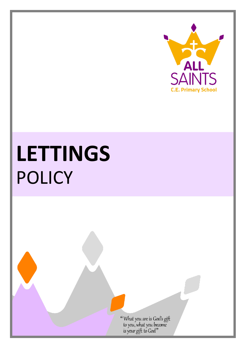

# **LETTINGS** POLICY

"What you are is God's gift<br>to you, what you become<br>is your gift to God"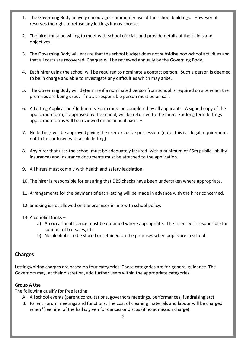- 1. The Governing Body actively encourages community use of the school buildings. However, it reserves the right to refuse any lettings it may choose.
- 2. The hirer must be willing to meet with school officials and provide details of their aims and objectives.
- 3. The Governing Body will ensure that the school budget does not subsidise non-school activities and that all costs are recovered. Charges will be reviewed annually by the Governing Body.
- 4. Each hirer using the school will be required to nominate a contact person. Such a person is deemed to be in charge and able to investigate any difficulties which may arise.
- 5. The Governing Body will determine if a nominated person from school is required on site when the premises are being used. If not, a responsible person must be on call.
- 6. A Letting Application / Indemnity Form must be completed by all applicants. A signed copy of the application form, if approved by the school, will be returned to the hirer. For long term lettings application forms will be reviewed on an annual basis. +
- 7. No lettings will be approved giving the user exclusive possession. (note: this is a legal requirement, not to be confused with a sole letting)
- 8. Any hirer that uses the school must be adequately insured (with a minimum of £5m public liability insurance) and insurance documents must be attached to the application.
- 9. All hirers must comply with health and safety legislation.
- 10. The hirer is responsible for ensuring that DBS checks have been undertaken where appropriate.
- 11. Arrangements for the payment of each letting will be made in advance with the hirer concerned.
- 12. Smoking is not allowed on the premises in line with school policy.
- 13. Alcoholic Drinks
	- a) An occasional licence must be obtained where appropriate. The Licensee is responsible for conduct of bar sales, etc.
	- b) No alcohol is to be stored or retained on the premises when pupils are in school.

# **Charges**

Lettings/hiring charges are based on four categories. These categories are for general guidance. The Governors may, at their discretion, add further users within the appropriate categories.

#### **Group A Use**

The following qualify for free letting:

- A. All school events (parent consultations, governors meetings, performances, fundraising etc)
- B. Parent Forum meetings and functions. The cost of cleaning materials and labour will be charged when 'free hire' of the hall is given for dances or discos (if no admission charge).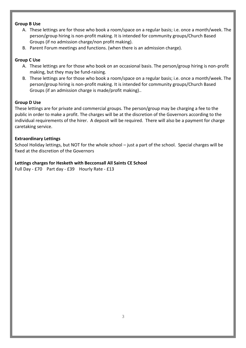#### **Group B Use**

- A. These lettings are for those who book a room/space on a regular basis; i.e. once a month/week. The person/group hiring is non-profit making. It is intended for community groups/Church Based Groups (if no admission charge/non profit making).
- B. Parent Forum meetings and functions. (when there is an admission charge).

# **Group C Use**

- A. These lettings are for those who book on an occasional basis. The person/group hiring is non-profit making, but they may be fund-raising.
- B. These lettings are for those who book a room/space on a regular basis; i.e. once a month/week. The person/group hiring is non-profit making. It is intended for community groups/Church Based Groups (if an admission charge is made/profit making)..

### **Group D Use**

These lettings are for private and commercial groups. The person/group may be charging a fee to the public in order to make a profit. The charges will be at the discretion of the Governors according to the individual requirements of the hirer. A deposit will be required. There will also be a payment for charge caretaking service.

### **Extraordinary Lettings**

School Holiday lettings, but NOT for the whole school – just a part of the school. Special charges will be fixed at the discretion of the Governors

### **Lettings charges for Hesketh with Becconsall All Saints CE School**

Full Day - £70 Part day - £39 Hourly Rate - £13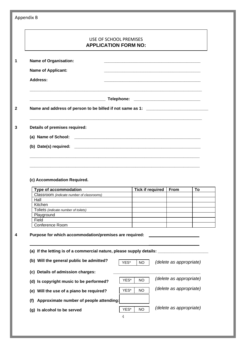|                                                                                                                                                                                  | USE OF SCHOOL PREMISES<br><b>APPLICATION FORM NO:</b> |                         |                         |    |
|----------------------------------------------------------------------------------------------------------------------------------------------------------------------------------|-------------------------------------------------------|-------------------------|-------------------------|----|
| <b>Name of Organisation:</b>                                                                                                                                                     |                                                       |                         |                         |    |
| <b>Name of Applicant:</b>                                                                                                                                                        |                                                       |                         |                         |    |
| <b>Address:</b>                                                                                                                                                                  |                                                       |                         |                         |    |
|                                                                                                                                                                                  |                                                       |                         |                         |    |
| Name and address of person to be billed if not same as 1: ______________________                                                                                                 |                                                       |                         |                         |    |
| Details of premises required:                                                                                                                                                    |                                                       |                         |                         |    |
| (a) Name of School:                                                                                                                                                              |                                                       |                         |                         |    |
|                                                                                                                                                                                  |                                                       |                         |                         |    |
|                                                                                                                                                                                  |                                                       |                         |                         |    |
|                                                                                                                                                                                  |                                                       |                         |                         |    |
|                                                                                                                                                                                  |                                                       |                         |                         |    |
| Type of accommodation<br>Classroom (indicate number of classrooms)                                                                                                               |                                                       | <b>Tick if required</b> | From                    | To |
| Hall                                                                                                                                                                             |                                                       |                         |                         |    |
| Kitchen                                                                                                                                                                          |                                                       |                         |                         |    |
| Toliets (indicate number of toilets)                                                                                                                                             |                                                       |                         |                         |    |
| Playground<br>Field                                                                                                                                                              |                                                       |                         |                         |    |
| Conference Room                                                                                                                                                                  |                                                       |                         |                         |    |
| (c) Accommodation Required.<br>Purpose for which accommodation/premises are required:<br>(a) If the letting is of a commercial nature, please supply details: __________________ |                                                       |                         |                         |    |
| (b) Will the general public be admitted?                                                                                                                                         | YES*                                                  | <b>NO</b>               | (delete as appropriate) |    |
| (c) Details of admission charges:                                                                                                                                                |                                                       |                         | (delete as appropriate) |    |
| (d) Is copyright music to be performed?                                                                                                                                          | YES*<br>YES*                                          | NO<br><b>NO</b>         | (delete as appropriate) |    |
| (e) Will the use of a piano be required?<br>Approximate number of people attending:<br>(f)                                                                                       |                                                       |                         |                         |    |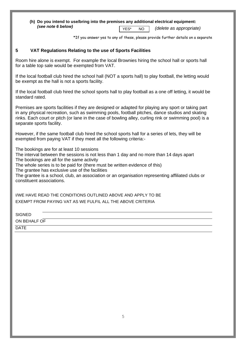#### **(h) Do you intend to use/bring into the premises any additional electrical equipment:** *(see note 6 below)* YES\* NO *(delete as appropriate)*

NO \*If you answer yes to any of these, please provide further details on a separate

#### **5 VAT Regulations Relating to the use of Sports Facilities**

Room hire alone is exempt. For example the local Brownies hiring the school hall or sports hall for a table top sale would be exempted from VAT.

If the local football club hired the school hall (NOT a sports hall) to play football, the letting would be exempt as the hall is not a sports facility.

If the local football club hired the school sports hall to play football as a one off letting, it would be standard rated.

Premises are sports facilities if they are designed or adapted for playing any sport or taking part in any physical recreation, such as swimming pools, football pitches, dance studios and skating rinks. Each court or pitch (or lane in the case of bowling alley, curling rink or swimming pool) is a separate sports facility.

However, if the same football club hired the school sports hall for a series of lets, they will be exempted from paying VAT if they meet all the following criteria:-

The bookings are for at least 10 sessions

The interval between the sessions is not less than 1 day and no more than 14 days apart The bookings are all for the same activity

The whole series is to be paid for (there must be written evidence of this)

The grantee has exclusive use of the facilities

The grantee is a school, club, an association or an organisation representing affiliated clubs or constituent associations.

I/WE HAVE READ THE CONDITIONS OUTLINED ABOVE AND APPLY TO BE EXEMPT FROM PAYING VAT AS WE FULFIL ALL THE ABOVE CRITERIA

**SIGNED** 

ON BEHALF OF

**DATE**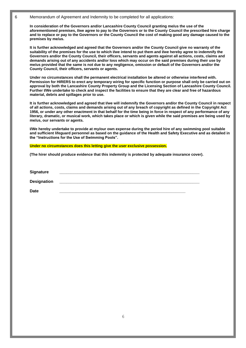6 Memorandum of Agreement and Indemnity to be completed for all applications:

**In consideration of the Governors and/or Lancashire County Council granting me/us the use of the aforementioned premises, I/we agree to pay to the Governors or to the County Council the prescribed hire charge and to replace or pay to the Governors or the County Council the cost of making good any damage caused to the premises by me/us.**

**It is further acknowledged and agreed that the Governors and/or the County Council give no warranty of the suitability of the premises for the use to which I/we intend to put them and I/we hereby agree to indemnify the Governors and/or the County Council, their officers, servants and agents against all actions, costs, claims and demands arising out of any accidents and/or loss which may occur on the said premises during their use by me/us provided that the same is not due to any negligence, omission or default of the Governors and/or the County Council, their officers, servants or agents.**

**Under no circumstances shall the permanent electrical installation be altered or otherwise interfered with. Permission for HIRERS to erect any temporary wiring for specific function or purpose shall only be carried out on approval by both the Lancashire County Property Group and the Licensing Section of Lancashire County Council. Further I/We undertake to check and inspect the facilities to ensure that they are clear and free of hazardous material, debris and spillages prior to use.**

**It is further acknowledged and agreed that I/we will indemnify the Governors and/or the County Council in respect of all actions, costs, claims and demands arising out of any breach of copyright as defined in the Copyright Act 1956, or under any other enactment in that behalf for the time being in force in respect of any performance of any literary, dramatic, or musical work, which takes place or which is given while the said premises are being used by me/us, our servants or agents.**

**I/We hereby undertake to provide at my/our own expense during the period hire of any swimming pool suitable and sufficient lifeguard personnel as based on the guidance of the Health and Safety Executive and as detailed in the "Instructions for the Use of Swimming Pools".**

**Under no circumstances does this letting give the user exclusive possession.**

**(The hirer should produce evidence that this indemnity is protected by adequate insurance cover).**

**Signature \_\_\_\_\_\_\_\_\_\_\_\_\_\_\_\_\_\_\_\_\_\_\_\_\_\_\_\_\_\_\_\_\_\_\_\_\_\_\_\_\_\_\_\_\_\_\_\_\_\_\_\_\_\_\_\_\_\_\_\_\_ Designation Date \_\_\_\_\_\_\_\_\_\_\_\_\_\_\_\_\_\_\_\_\_\_\_\_\_\_\_\_\_\_\_\_\_\_\_\_\_\_\_\_\_\_\_\_\_\_\_\_\_\_\_\_\_\_\_\_\_\_\_\_\_**